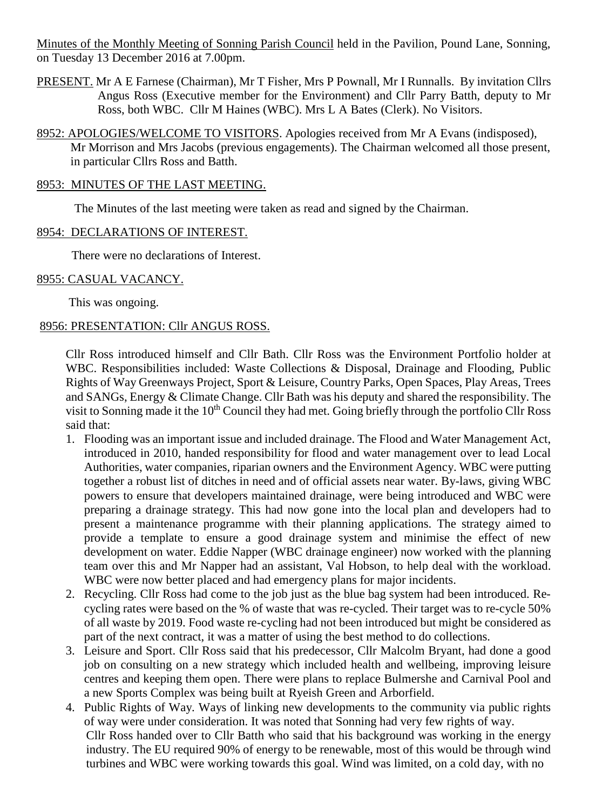Minutes of the Monthly Meeting of Sonning Parish Council held in the Pavilion, Pound Lane, Sonning, on Tuesday 13 December 2016 at 7.00pm.

- PRESENT. Mr A E Farnese (Chairman), Mr T Fisher, Mrs P Pownall, Mr I Runnalls. By invitation Cllrs Angus Ross (Executive member for the Environment) and Cllr Parry Batth, deputy to Mr Ross, both WBC. Cllr M Haines (WBC). Mrs L A Bates (Clerk). No Visitors.
- 8952: APOLOGIES/WELCOME TO VISITORS. Apologies received from Mr A Evans (indisposed), Mr Morrison and Mrs Jacobs (previous engagements). The Chairman welcomed all those present, in particular Cllrs Ross and Batth.

#### 8953: MINUTES OF THE LAST MEETING.

The Minutes of the last meeting were taken as read and signed by the Chairman.

#### 8954: DECLARATIONS OF INTEREST.

There were no declarations of Interest.

#### 8955: CASUAL VACANCY.

This was ongoing.

#### 8956: PRESENTATION: Cllr ANGUS ROSS.

Cllr Ross introduced himself and Cllr Bath. Cllr Ross was the Environment Portfolio holder at WBC. Responsibilities included: Waste Collections & Disposal, Drainage and Flooding, Public Rights of Way Greenways Project, Sport & Leisure, Country Parks, Open Spaces, Play Areas, Trees and SANGs, Energy & Climate Change. Cllr Bath was his deputy and shared the responsibility. The visit to Sonning made it the  $10<sup>th</sup>$  Council they had met. Going briefly through the portfolio Cllr Ross said that:

- 1. Flooding was an important issue and included drainage. The Flood and Water Management Act, introduced in 2010, handed responsibility for flood and water management over to lead Local Authorities, water companies, riparian owners and the Environment Agency. WBC were putting together a robust list of ditches in need and of official assets near water. By-laws, giving WBC powers to ensure that developers maintained drainage, were being introduced and WBC were preparing a drainage strategy. This had now gone into the local plan and developers had to present a maintenance programme with their planning applications. The strategy aimed to provide a template to ensure a good drainage system and minimise the effect of new development on water. Eddie Napper (WBC drainage engineer) now worked with the planning team over this and Mr Napper had an assistant, Val Hobson, to help deal with the workload. WBC were now better placed and had emergency plans for major incidents.
- 2. Recycling. Cllr Ross had come to the job just as the blue bag system had been introduced. Recycling rates were based on the % of waste that was re-cycled. Their target was to re-cycle 50% of all waste by 2019. Food waste re-cycling had not been introduced but might be considered as part of the next contract, it was a matter of using the best method to do collections.
- 3. Leisure and Sport. Cllr Ross said that his predecessor, Cllr Malcolm Bryant, had done a good job on consulting on a new strategy which included health and wellbeing, improving leisure centres and keeping them open. There were plans to replace Bulmershe and Carnival Pool and a new Sports Complex was being built at Ryeish Green and Arborfield.
- 4. Public Rights of Way. Ways of linking new developments to the community via public rights of way were under consideration. It was noted that Sonning had very few rights of way. Cllr Ross handed over to Cllr Batth who said that his background was working in the energy industry. The EU required 90% of energy to be renewable, most of this would be through wind turbines and WBC were working towards this goal. Wind was limited, on a cold day, with no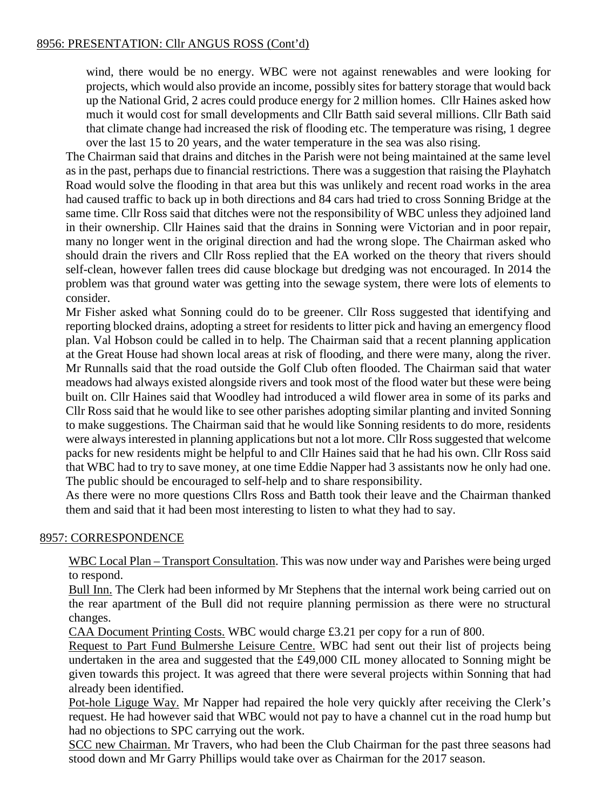wind, there would be no energy. WBC were not against renewables and were looking for projects, which would also provide an income, possibly sites for battery storage that would back up the National Grid, 2 acres could produce energy for 2 million homes. Cllr Haines asked how much it would cost for small developments and Cllr Batth said several millions. Cllr Bath said that climate change had increased the risk of flooding etc. The temperature was rising, 1 degree over the last 15 to 20 years, and the water temperature in the sea was also rising.

The Chairman said that drains and ditches in the Parish were not being maintained at the same level as in the past, perhaps due to financial restrictions. There was a suggestion that raising the Playhatch Road would solve the flooding in that area but this was unlikely and recent road works in the area had caused traffic to back up in both directions and 84 cars had tried to cross Sonning Bridge at the same time. Cllr Ross said that ditches were not the responsibility of WBC unless they adjoined land in their ownership. Cllr Haines said that the drains in Sonning were Victorian and in poor repair, many no longer went in the original direction and had the wrong slope. The Chairman asked who should drain the rivers and Cllr Ross replied that the EA worked on the theory that rivers should self-clean, however fallen trees did cause blockage but dredging was not encouraged. In 2014 the problem was that ground water was getting into the sewage system, there were lots of elements to consider.

Mr Fisher asked what Sonning could do to be greener. Cllr Ross suggested that identifying and reporting blocked drains, adopting a street for residents to litter pick and having an emergency flood plan. Val Hobson could be called in to help. The Chairman said that a recent planning application at the Great House had shown local areas at risk of flooding, and there were many, along the river. Mr Runnalls said that the road outside the Golf Club often flooded. The Chairman said that water meadows had always existed alongside rivers and took most of the flood water but these were being built on. Cllr Haines said that Woodley had introduced a wild flower area in some of its parks and Cllr Ross said that he would like to see other parishes adopting similar planting and invited Sonning to make suggestions. The Chairman said that he would like Sonning residents to do more, residents were always interested in planning applications but not a lot more. Cllr Ross suggested that welcome packs for new residents might be helpful to and Cllr Haines said that he had his own. Cllr Ross said that WBC had to try to save money, at one time Eddie Napper had 3 assistants now he only had one. The public should be encouraged to self-help and to share responsibility.

As there were no more questions Cllrs Ross and Batth took their leave and the Chairman thanked them and said that it had been most interesting to listen to what they had to say.

# 8957: CORRESPONDENCE

WBC Local Plan – Transport Consultation. This was now under way and Parishes were being urged to respond.

Bull Inn. The Clerk had been informed by Mr Stephens that the internal work being carried out on the rear apartment of the Bull did not require planning permission as there were no structural changes.

CAA Document Printing Costs. WBC would charge £3.21 per copy for a run of 800.

Request to Part Fund Bulmershe Leisure Centre. WBC had sent out their list of projects being undertaken in the area and suggested that the £49,000 CIL money allocated to Sonning might be given towards this project. It was agreed that there were several projects within Sonning that had already been identified.

Pot-hole Liguge Way. Mr Napper had repaired the hole very quickly after receiving the Clerk's request. He had however said that WBC would not pay to have a channel cut in the road hump but had no objections to SPC carrying out the work.

SCC new Chairman. Mr Travers, who had been the Club Chairman for the past three seasons had stood down and Mr Garry Phillips would take over as Chairman for the 2017 season.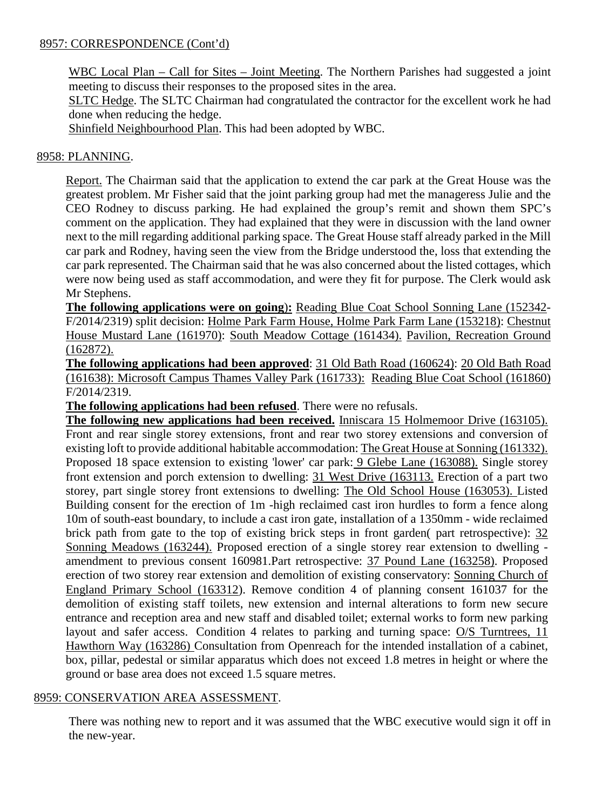#### 8957: CORRESPONDENCE (Cont'd)

WBC Local Plan – Call for Sites – Joint Meeting. The Northern Parishes had suggested a joint meeting to discuss their responses to the proposed sites in the area.

SLTC Hedge. The SLTC Chairman had congratulated the contractor for the excellent work he had done when reducing the hedge.

Shinfield Neighbourhood Plan. This had been adopted by WBC.

## 8958: PLANNING.

Report. The Chairman said that the application to extend the car park at the Great House was the greatest problem. Mr Fisher said that the joint parking group had met the manageress Julie and the CEO Rodney to discuss parking. He had explained the group's remit and shown them SPC's comment on the application. They had explained that they were in discussion with the land owner next to the mill regarding additional parking space. The Great House staff already parked in the Mill car park and Rodney, having seen the view from the Bridge understood the, loss that extending the car park represented. The Chairman said that he was also concerned about the listed cottages, which were now being used as staff accommodation, and were they fit for purpose. The Clerk would ask Mr Stephens.

**The following applications were on going**)**:** Reading Blue Coat School Sonning Lane (152342- F/2014/2319) split decision: Holme Park Farm House, Holme Park Farm Lane (153218): Chestnut House Mustard Lane (161970): South Meadow Cottage (161434). Pavilion, Recreation Ground (162872).

**The following applications had been approved**: 31 Old Bath Road (160624): 20 Old Bath Road (161638): Microsoft Campus Thames Valley Park (161733): Reading Blue Coat School (161860) F/2014/2319.

**The following applications had been refused**. There were no refusals.

**The following new applications had been received.** Inniscara 15 Holmemoor Drive (163105). Front and rear single storey extensions, front and rear two storey extensions and conversion of existing loft to provide additional habitable accommodation: The Great House at Sonning (161332). Proposed 18 space extension to existing 'lower' car park: 9 Glebe Lane (163088). Single storey front extension and porch extension to dwelling: 31 West Drive (163113. Erection of a part two storey, part single storey front extensions to dwelling: The Old School House (163053). Listed Building consent for the erection of 1m -high reclaimed cast iron hurdles to form a fence along 10m of south-east boundary, to include a cast iron gate, installation of a 1350mm - wide reclaimed brick path from gate to the top of existing brick steps in front garden( part retrospective): 32 Sonning Meadows (163244). Proposed erection of a single storey rear extension to dwelling amendment to previous consent 160981.Part retrospective: 37 Pound Lane (163258). Proposed erection of two storey rear extension and demolition of existing conservatory: Sonning Church of England Primary School (163312). Remove condition 4 of planning consent 161037 for the demolition of existing staff toilets, new extension and internal alterations to form new secure entrance and reception area and new staff and disabled toilet; external works to form new parking layout and safer access. Condition 4 relates to parking and turning space: O/S Turntrees, 11 Hawthorn Way (163286) Consultation from Openreach for the intended installation of a cabinet, box, pillar, pedestal or similar apparatus which does not exceed 1.8 metres in height or where the ground or base area does not exceed 1.5 square metres.

#### 8959: CONSERVATION AREA ASSESSMENT.

There was nothing new to report and it was assumed that the WBC executive would sign it off in the new-year.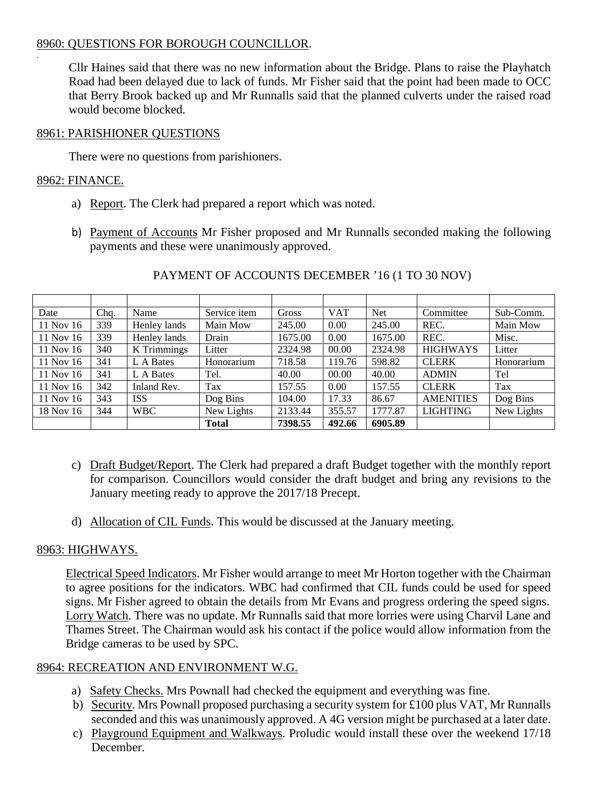# 8960: QUESTIONS FOR BOROUGH COUNCILLOR.

Cllr Haines said that there was no new information about the Bridge. Plans to raise the Playhatch Road had been delayed due to lack of funds. Mr Fisher said that the point had been made to OCC that Berry Brook backed up and Mr Runnalls said that the planned culverts under the raised road would become blocked.

#### 8961: PARISHIONER QUESTIONS

There were no questions from parishioners.

## 8962: FINANCE.

.

- a) Report. The Clerk had prepared a report which was noted.
- b) Payment of Accounts Mr Fisher proposed and Mr Runnalls seconded making the following payments and these were unanimously approved.

| Date      | Chq. | Name         | Service item | Gross   | <b>VAT</b> | <b>Net</b> | Committee        | Sub-Comm.  |
|-----------|------|--------------|--------------|---------|------------|------------|------------------|------------|
| 11 Nov 16 | 339  | Henley lands | Main Mow     | 245.00  | 0.00       | 245.00     | REC.             | Main Mow   |
| 11 Nov 16 | 339  | Henley lands | Drain        | 1675.00 | 0.00       | 1675.00    | REC.             | Misc.      |
| 11 Nov 16 | 340  | K Trimmings  | Litter       | 2324.98 | 00.00      | 2324.98    | <b>HIGHWAYS</b>  | Litter     |
| 11 Nov 16 | 341  | L A Bates    | Honorarium   | 718.58  | 119.76     | 598.82     | <b>CLERK</b>     | Honorarium |
| 11 Nov 16 | 341  | L A Bates    | Tel.         | 40.00   | 00.00      | 40.00      | <b>ADMIN</b>     | Tel        |
| 11 Nov 16 | 342  | Inland Rev.  | Tax          | 157.55  | 0.00       | 157.55     | <b>CLERK</b>     | Tax        |
| 11 Nov 16 | 343  | ISS          | Dog Bins     | 104.00  | 17.33      | 86.67      | <b>AMENITIES</b> | Dog Bins   |
| 18 Nov 16 | 344  | <b>WBC</b>   | New Lights   | 2133.44 | 355.57     | 1777.87    | <b>LIGHTING</b>  | New Lights |
|           |      |              | <b>Total</b> | 7398.55 | 492.66     | 6905.89    |                  |            |

#### PAYMENT OF ACCOUNTS DECEMBER '16 (1 TO 30 NOV)

- c) Draft Budget/Report. The Clerk had prepared a draft Budget together with the monthly report for comparison. Councillors would consider the draft budget and bring any revisions to the January meeting ready to approve the 2017/18 Precept.
- d) Allocation of CIL Funds. This would be discussed at the January meeting.

# 8963: HIGHWAYS.

Electrical Speed Indicators. Mr Fisher would arrange to meet Mr Horton together with the Chairman to agree positions for the indicators. WBC had confirmed that CIL funds could be used for speed signs. Mr Fisher agreed to obtain the details from Mr Evans and progress ordering the speed signs. Lorry Watch. There was no update. Mr Runnalls said that more lorries were using Charvil Lane and Thames Street. The Chairman would ask his contact if the police would allow information from the Bridge cameras to be used by SPC.

# 8964: RECREATION AND ENVIRONMENT W.G.

- a) Safety Checks. Mrs Pownall had checked the equipment and everything was fine.
- b) Security. Mrs Pownall proposed purchasing a security system for £100 plus VAT, Mr Runnalls seconded and this was unanimously approved. A 4G version might be purchased at a later date.
- c) Playground Equipment and Walkways. Proludic would install these over the weekend 17/18 December.